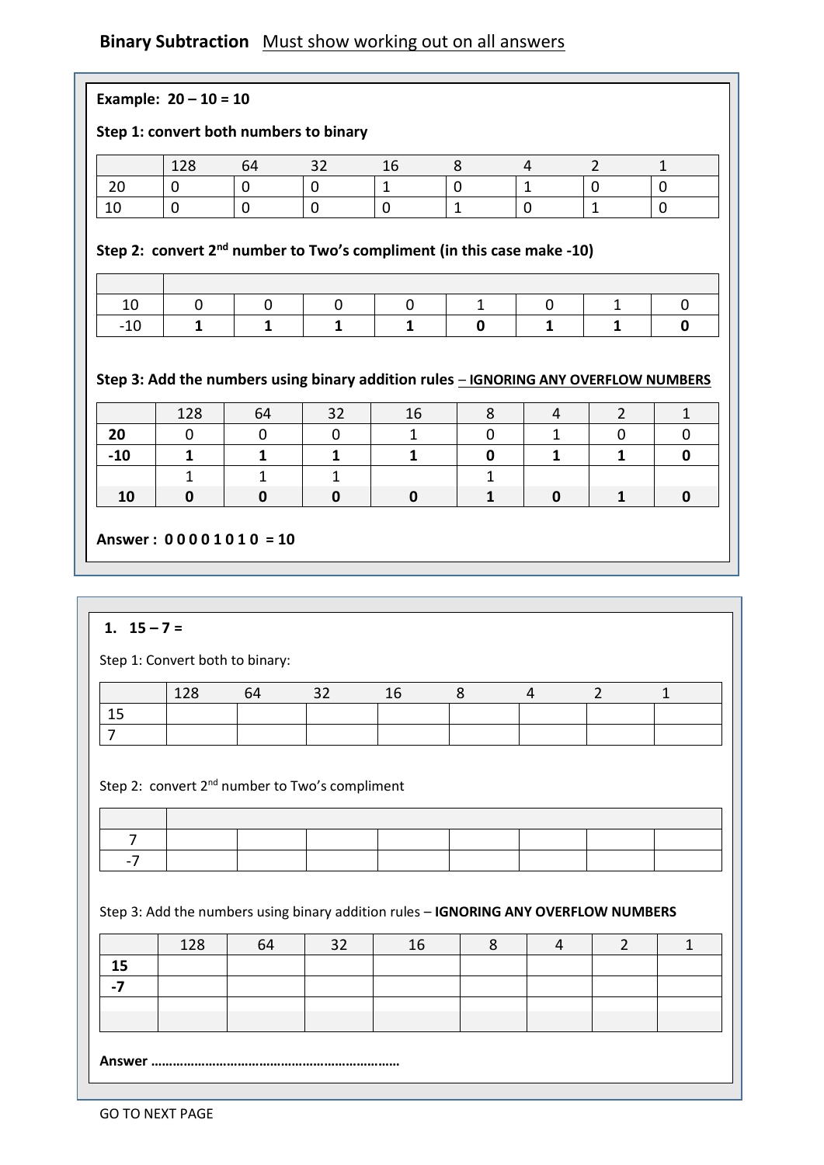## **Binary Subtraction** Must show working out on all answers

|               | 128                                                                                             | 64                      | 32                                                                          | 16                 | 8            | $\overline{4}$    | $\overline{2}$      | $\mathbf{1}$      |
|---------------|-------------------------------------------------------------------------------------------------|-------------------------|-----------------------------------------------------------------------------|--------------------|--------------|-------------------|---------------------|-------------------|
| 20            | $\mathbf 0$                                                                                     | $\mathbf 0$             | $\mathbf 0$                                                                 | $\mathbf{1}$       | 0            | $\mathbf{1}$      | 0                   | $\mathbf 0$       |
| 10            | 0                                                                                               | $\mathbf 0$             | $\mathbf 0$                                                                 | $\mathbf 0$        | $\mathbf{1}$ | $\mathbf 0$       | $\mathbf{1}$        | $\mathbf 0$       |
|               |                                                                                                 |                         | Step 2: convert $2^{nd}$ number to Two's compliment (in this case make -10) |                    |              |                   |                     |                   |
| 10            | 0                                                                                               | 0                       | 0                                                                           | $\mathbf 0$        | $\mathbf{1}$ | 0                 | $\mathbf{1}$        | 0                 |
| $-10$         | $\mathbf{1}$                                                                                    | $\mathbf{1}$            | $\mathbf{1}$                                                                | $\mathbf{1}$       | $\mathbf 0$  | $\mathbf{1}$      | $\mathbf{1}$        | 0                 |
|               | Step 3: Add the numbers using binary addition rules - IGNORING ANY OVERFLOW NUMBERS<br>128<br>0 | 64<br>$\mathbf 0$       | 32<br>$\mathbf 0$                                                           | 16<br>$\mathbf{1}$ | 8<br>0       | 4<br>$\mathbf{1}$ | $\overline{2}$<br>0 | $\mathbf{1}$<br>0 |
| 20            |                                                                                                 |                         |                                                                             |                    |              |                   |                     |                   |
| $-10$         | $\mathbf{1}$                                                                                    | $\mathbf{1}$            | $\mathbf{1}$                                                                | $\mathbf{1}$       | $\mathbf 0$  | $\mathbf{1}$      | $\mathbf{1}$        | $\mathbf 0$       |
|               | $\mathbf{1}$                                                                                    | $\mathbf{1}$            | $\mathbf{1}$                                                                |                    | $\mathbf{1}$ |                   |                     |                   |
| 10            | 0                                                                                               | $\mathbf 0$             | $\mathbf 0$                                                                 | $\mathbf 0$        | $\mathbf{1}$ | 0                 | $\mathbf{1}$        | $\mathbf 0$       |
|               |                                                                                                 | Answer: $00001010 = 10$ |                                                                             |                    |              |                   |                     |                   |
|               |                                                                                                 |                         |                                                                             |                    |              |                   |                     |                   |
| 1. $15 - 7 =$ | Step 1: Convert both to binary:                                                                 |                         |                                                                             |                    |              |                   |                     |                   |
|               | 128                                                                                             | 64                      | 32                                                                          | 16                 | 8            | $\overline{4}$    | $\overline{2}$      | $\mathbf{1}$      |
| 15            |                                                                                                 |                         |                                                                             |                    |              |                   |                     |                   |

## Step 2: convert  $2^{nd}$  number to Two's compliment

## Step 3: Add the numbers using binary addition rules – **IGNORING ANY OVERFLOW NUMBERS**

| 120 | 64 | <u>າາ</u> |  |  |  |
|-----|----|-----------|--|--|--|
|     |    |           |  |  |  |
|     |    |           |  |  |  |
|     |    |           |  |  |  |
|     |    |           |  |  |  |

**Answer ……………………………………………………………**

**Binary subtraction**